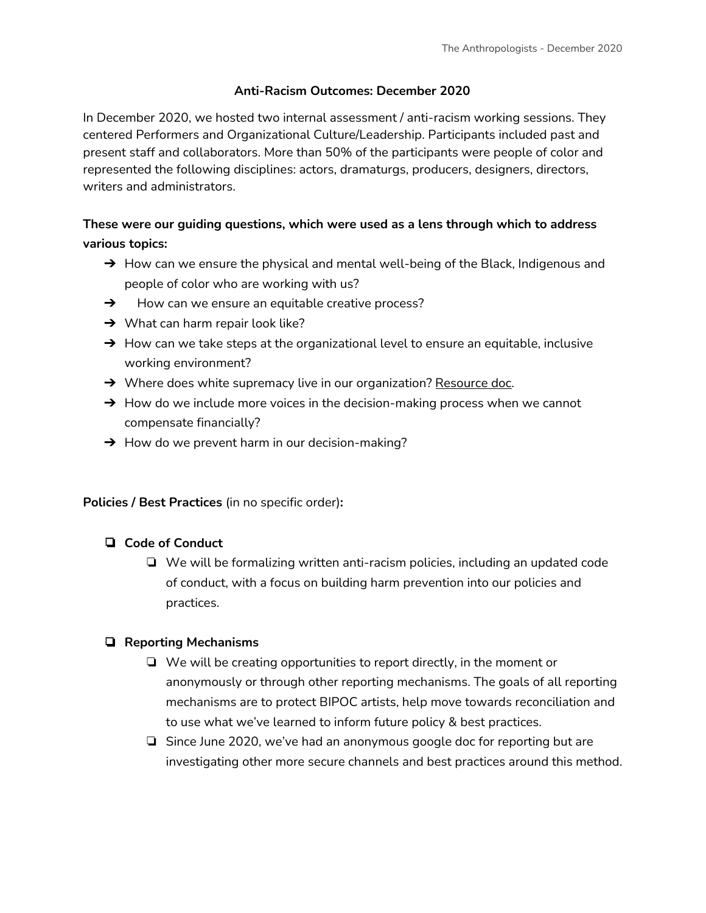#### **Anti-Racism Outcomes: December 2020**

In December 2020, we hosted two internal assessment / anti-racism working sessions. They centered Performers and Organizational Culture/Leadership. Participants included past and present staff and collaborators. More than 50% of the participants were people of color and represented the following disciplines: actors, dramaturgs, producers, designers, directors, writers and administrators.

# **These were our guiding questions, which were used as a lens through which to address various topics:**

- $\rightarrow$  How can we ensure the physical and mental well-being of the Black, Indigenous and people of color who are working with us?
- $\rightarrow$  How can we ensure an equitable creative process?
- $\rightarrow$  What can harm repair look like?
- $\rightarrow$  How can we take steps at the organizational level to ensure an equitable, inclusive working environment?
- $\rightarrow$  Where does white supremacy live in our organization? [Resource](http://www.showingupforracialjustice.org/white-supremacy-culture-characteristics.html) doc.
- $\rightarrow$  How do we include more voices in the decision-making process when we cannot compensate financially?
- $\rightarrow$  How do we prevent harm in our decision-making?

**Policies / Best Practices** (in no specific order)**:**

## ❏ **Code of Conduct**

❏ We will be formalizing written anti-racism policies, including an updated code of conduct, with a focus on building harm prevention into our policies and practices.

## ❏ **Reporting Mechanisms**

- ❏ We will be creating opportunities to report directly, in the moment or anonymously or through other reporting mechanisms. The goals of all reporting mechanisms are to protect BIPOC artists, help move towards reconciliation and to use what we've learned to inform future policy & best practices.
- ❏ Since June 2020, we've had an anonymous google doc for reporting but are investigating other more secure channels and best practices around this method.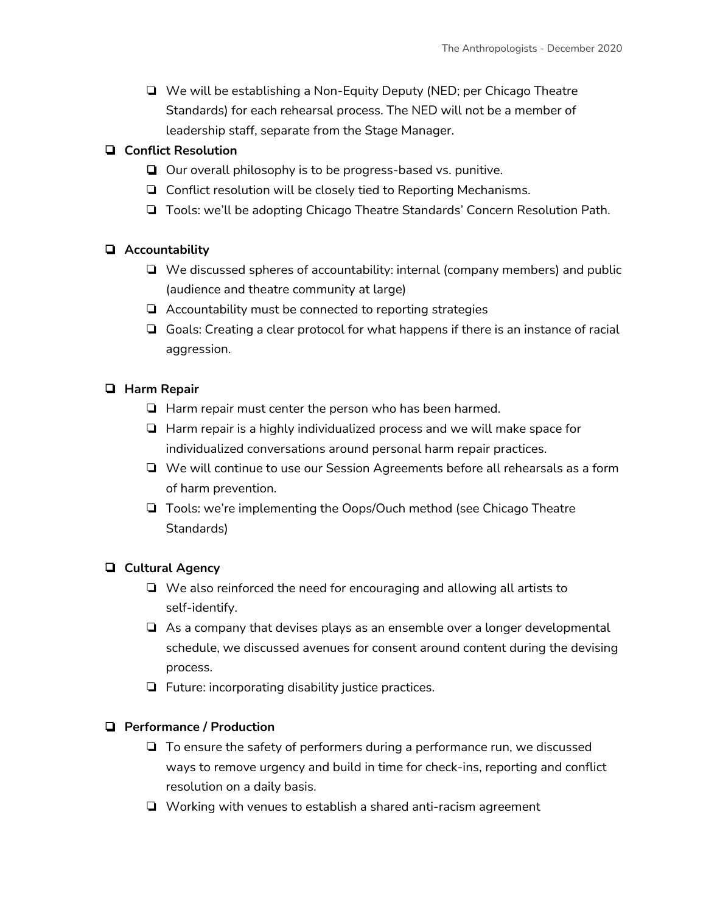❏ We will be establishing a Non-Equity Deputy (NED; per Chicago Theatre Standards) for each rehearsal process. The NED will not be a member of leadership staff, separate from the Stage Manager.

## ❏ **Conflict Resolution**

- ❏ Our overall philosophy is to be progress-based vs. punitive.
- ❏ Conflict resolution will be closely tied to Reporting Mechanisms.
- ❏ Tools: we'll be adopting Chicago Theatre Standards' Concern Resolution Path.

## ❏ **Accountability**

- ❏ We discussed spheres of accountability: internal (company members) and public (audience and theatre community at large)
- ❏ Accountability must be connected to reporting strategies
- ❏ Goals: Creating a clear protocol for what happens if there is an instance of racial aggression.

## ❏ **Harm Repair**

- ❏ Harm repair must center the person who has been harmed.
- ❏ Harm repair is a highly individualized process and we will make space for individualized conversations around personal harm repair practices.
- ❏ We will continue to use our Session Agreements before all rehearsals as a form of harm prevention.
- ❏ Tools: we're implementing the Oops/Ouch method (see Chicago Theatre Standards)

# ❏ **Cultural Agency**

- ❏ We also reinforced the need for encouraging and allowing all artists to self-identify.
- ❏ As a company that devises plays as an ensemble over a longer developmental schedule, we discussed avenues for consent around content during the devising process.
- ❏ Future: incorporating disability justice practices.

## ❏ **Performance / Production**

- ❏ To ensure the safety of performers during a performance run, we discussed ways to remove urgency and build in time for check-ins, reporting and conflict resolution on a daily basis.
- ❏ Working with venues to establish a shared anti-racism agreement